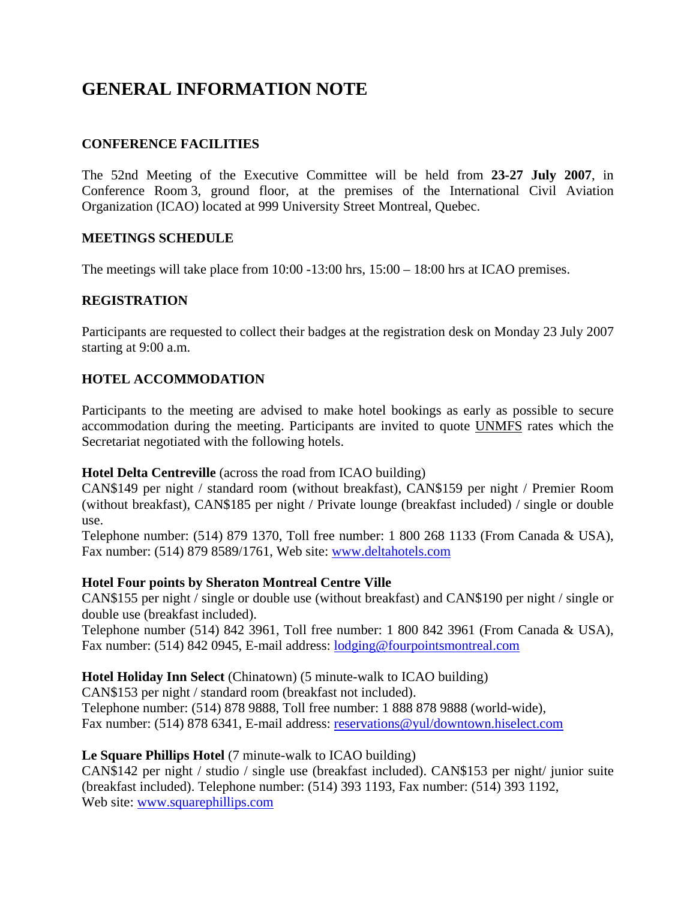# **GENERAL INFORMATION NOTE**

## **CONFERENCE FACILITIES**

The 52nd Meeting of the Executive Committee will be held from **23-27 July 2007**, in Conference Room 3, ground floor, at the premises of the International Civil Aviation Organization (ICAO) located at 999 University Street Montreal, Quebec.

#### **MEETINGS SCHEDULE**

The meetings will take place from  $10:00 - 13:00$  hrs,  $15:00 - 18:00$  hrs at ICAO premises.

#### **REGISTRATION**

Participants are requested to collect their badges at the registration desk on Monday 23 July 2007 starting at 9:00 a.m.

#### **HOTEL ACCOMMODATION**

Participants to the meeting are advised to make hotel bookings as early as possible to secure accommodation during the meeting. Participants are invited to quote UNMFS rates which the Secretariat negotiated with the following hotels.

#### **Hotel Delta Centreville** (across the road from ICAO building)

CAN\$149 per night / standard room (without breakfast), CAN\$159 per night / Premier Room (without breakfast), CAN\$185 per night / Private lounge (breakfast included) / single or double use.

Telephone number: (514) 879 1370, Toll free number: 1 800 268 1133 (From Canada & USA), Fax number: (514) 879 8589/1761, Web site: www.deltahotels.com

#### **Hotel Four points by Sheraton Montreal Centre Ville**

CAN\$155 per night / single or double use (without breakfast) and CAN\$190 per night / single or double use (breakfast included).

Telephone number (514) 842 3961, Toll free number: 1 800 842 3961 (From Canada & USA), Fax number: (514) 842 0945, E-mail address: lodging@fourpointsmontreal.com

#### **Hotel Holiday Inn Select** (Chinatown) (5 minute-walk to ICAO building)

CAN\$153 per night / standard room (breakfast not included).

Telephone number: (514) 878 9888, Toll free number: 1 888 878 9888 (world-wide), Fax number: (514) 878 6341, E-mail address: reservations@yul/downtown.hiselect.com

#### **Le Square Phillips Hotel** (7 minute-walk to ICAO building)

CAN\$142 per night / studio / single use (breakfast included). CAN\$153 per night/ junior suite (breakfast included). Telephone number: (514) 393 1193, Fax number: (514) 393 1192, Web site: www.squarephillips.com